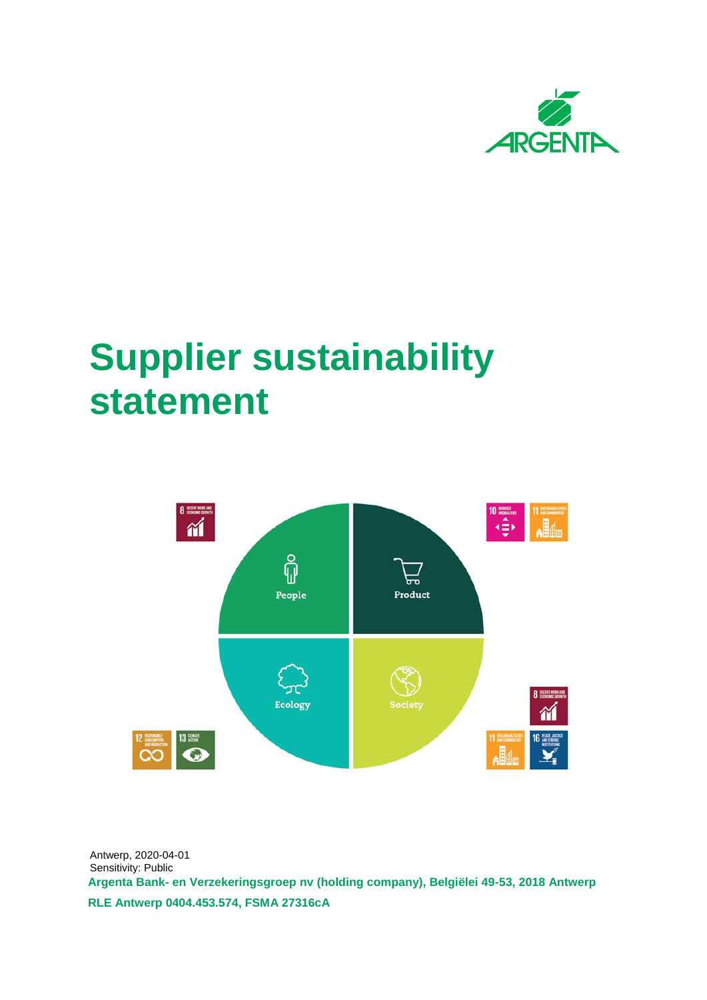

## **Supplier sustainability statement**



**Argenta Bank- en Verzekeringsgroep nv (holding company), Belgiëlei 49-53, 2018 Antwerp RLE Antwerp 0404.453.574, FSMA 27316cA** Antwerp, 2020-04-01 Sensitivity: Public